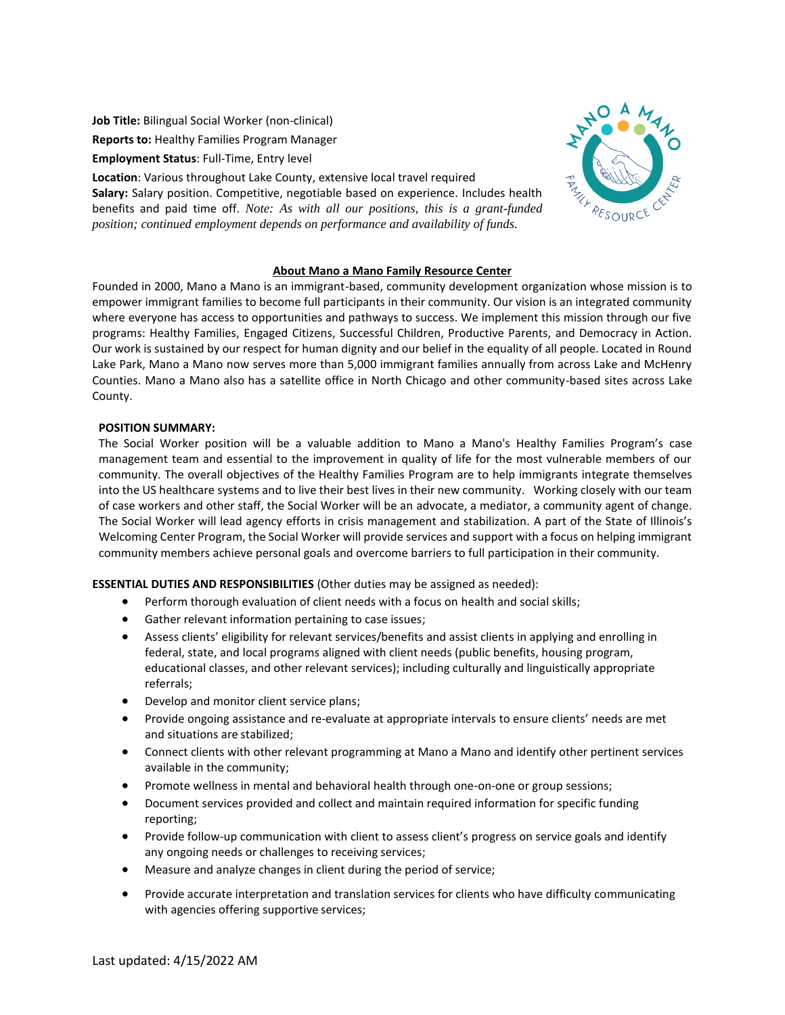**Job Title:** Bilingual Social Worker (non-clinical) **Reports to:** Healthy Families Program Manager

**Employment Status**: Full-Time, Entry level

**Location**: Various throughout Lake County, extensive local travel required **Salary:** Salary position. Competitive, negotiable based on experience. Includes health benefits and paid time off. *Note: As with all our positions, this is a grant-funded position; continued employment depends on performance and availability of funds.*



## **About Mano a Mano Family Resource Center**

Founded in 2000, Mano a Mano is an immigrant-based, community development organization whose mission is to empower immigrant families to become full participants in their community. Our vision is an integrated community where everyone has access to opportunities and pathways to success. We implement this mission through our five programs: Healthy Families, Engaged Citizens, Successful Children, Productive Parents, and Democracy in Action. Our work is sustained by our respect for human dignity and our belief in the equality of all people. Located in Round Lake Park, Mano a Mano now serves more than 5,000 immigrant families annually from across Lake and McHenry Counties. Mano a Mano also has a satellite office in North Chicago and other community-based sites across Lake County.

## **POSITION SUMMARY:**

The Social Worker position will be a valuable addition to Mano a Mano's Healthy Families Program's case management team and essential to the improvement in quality of life for the most vulnerable members of our community. The overall objectives of the Healthy Families Program are to help immigrants integrate themselves into the US healthcare systems and to live their best lives in their new community. Working closely with our team of case workers and other staff, the Social Worker will be an advocate, a mediator, a community agent of change. The Social Worker will lead agency efforts in crisis management and stabilization. A part of the State of Illinois's Welcoming Center Program, the Social Worker will provide services and support with a focus on helping immigrant community members achieve personal goals and overcome barriers to full participation in their community.

## **ESSENTIAL DUTIES AND RESPONSIBILITIES** (Other duties may be assigned as needed):

- Perform thorough evaluation of client needs with a focus on health and social skills;
- Gather relevant information pertaining to case issues;
- Assess clients' eligibility for relevant services/benefits and assist clients in applying and enrolling in federal, state, and local programs aligned with client needs (public benefits, housing program, educational classes, and other relevant services); including culturally and linguistically appropriate referrals;
- Develop and monitor client service plans;
- Provide ongoing assistance and re-evaluate at appropriate intervals to ensure clients' needs are met and situations are stabilized;
- Connect clients with other relevant programming at Mano a Mano and identify other pertinent services available in the community;
- Promote wellness in mental and behavioral health through one-on-one or group sessions;
- Document services provided and collect and maintain required information for specific funding reporting;
- Provide follow-up communication with client to assess client's progress on service goals and identify any ongoing needs or challenges to receiving services;
- Measure and analyze changes in client during the period of service;
- Provide accurate interpretation and translation services for clients who have difficulty communicating with agencies offering supportive services;